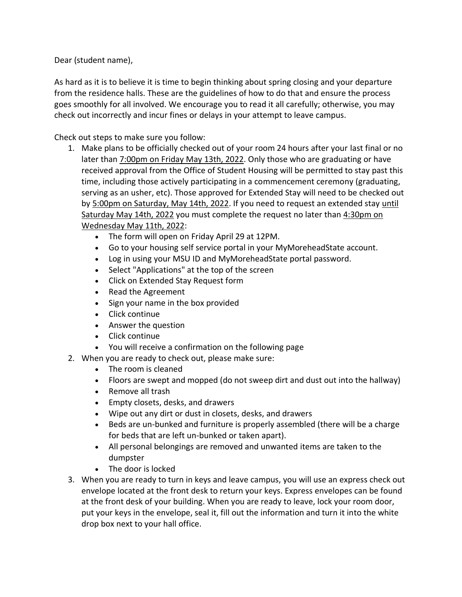Dear (student name),

As hard as it is to believe it is time to begin thinking about spring closing and your departure from the residence halls. These are the guidelines of how to do that and ensure the process goes smoothly for all involved. We encourage you to read it all carefully; otherwise, you may check out incorrectly and incur fines or delays in your attempt to leave campus.

Check out steps to make sure you follow:

- 1. Make plans to be officially checked out of your room 24 hours after your last final or no later than 7:00pm on Friday May 13th, 2022. Only those who are graduating or have received approval from the Office of Student Housing will be permitted to stay past this time, including those actively participating in a commencement ceremony (graduating, serving as an usher, etc). Those approved for Extended Stay will need to be checked out by 5:00pm on Saturday, May 14th, 2022. If you need to request an extended stay until Saturday May 14th, 2022 you must complete the request no later than 4:30pm on Wednesday May 11th, 2022:
	- The form will open on Friday April 29 at 12PM.
	- Go to your housing self service portal in your MyMoreheadState account.
	- Log in using your MSU ID and MyMoreheadState portal password.
	- Select "Applications" at the top of the screen
	- Click on Extended Stay Request form
	- Read the Agreement
	- Sign your name in the box provided
	- Click continue
	- Answer the question
	- Click continue
	- You will receive a confirmation on the following page
- 2. When you are ready to check out, please make sure:
	- The room is cleaned
	- Floors are swept and mopped (do not sweep dirt and dust out into the hallway)
	- Remove all trash
	- Empty closets, desks, and drawers
	- Wipe out any dirt or dust in closets, desks, and drawers
	- Beds are un-bunked and furniture is properly assembled (there will be a charge for beds that are left un-bunked or taken apart).
	- All personal belongings are removed and unwanted items are taken to the dumpster
	- The door is locked
- 3. When you are ready to turn in keys and leave campus, you will use an express check out envelope located at the front desk to return your keys. Express envelopes can be found at the front desk of your building. When you are ready to leave, lock your room door, put your keys in the envelope, seal it, fill out the information and turn it into the white drop box next to your hall office.